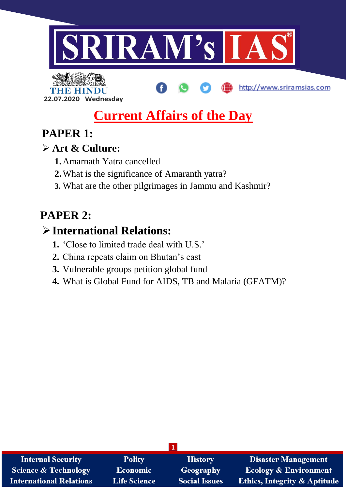

**22.07.2020 Wednesday**

# **Current Affairs of the Day**

http://www.sriramsias.com

## **PAPER 1:**

## **Art & Culture:**

- **1.**Amarnath Yatra cancelled
- **2.**What is the significance of Amaranth yatra?
- **3.** What are the other pilgrimages in Jammu and Kashmir?

# **PAPER 2:**

# **International Relations:**

- **1.** 'Close to limited trade deal with U.S.'
- **2.** China repeats claim on Bhutan's east
- **3.** Vulnerable groups petition global fund
- **4.** What is Global Fund for AIDS, TB and Malaria (GFATM)?

| <b>Internal Security</b>        | <b>Polity</b>       | <b>History</b>       | <b>Disaster Management</b>              |
|---------------------------------|---------------------|----------------------|-----------------------------------------|
| <b>Science &amp; Technology</b> | <b>Economic</b>     | <b>Geography</b>     | <b>Ecology &amp; Environment</b>        |
| <b>International Relations</b>  | <b>Life Science</b> | <b>Social Issues</b> | <b>Ethics, Integrity &amp; Aptitude</b> |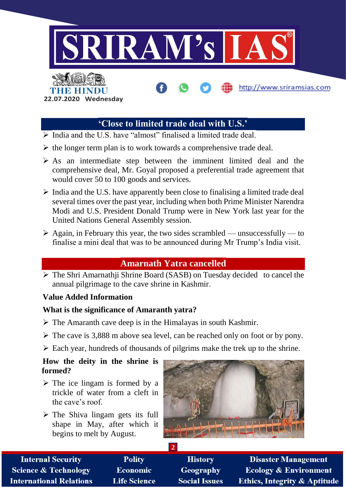

## **'Close to limited trade deal with U.S.'**

- $\triangleright$  India and the U.S. have "almost" finalised a limited trade deal.
- $\triangleright$  the longer term plan is to work towards a comprehensive trade deal.
- $\triangleright$  As an intermediate step between the imminent limited deal and the comprehensive deal, Mr. Goyal proposed a preferential trade agreement that would cover 50 to 100 goods and services.
- $\triangleright$  India and the U.S. have apparently been close to finalising a limited trade deal several times over the past year, including when both Prime Minister Narendra Modi and U.S. President Donald Trump were in New York last year for the United Nations General Assembly session.
- $\triangleright$  Again, in February this year, the two sides scrambled unsuccessfully to finalise a mini deal that was to be announced during Mr Trump's India visit.

## **Amarnath Yatra cancelled**

 The Shri Amarnathji Shrine Board (SASB) on Tuesday decided to cancel the annual pilgrimage to the cave shrine in Kashmir.

## **Value Added Information**

## **What is the significance of Amaranth yatra?**

- $\triangleright$  The Amaranth cave deep is in the Himalayas in south Kashmir.
- The cave is 3,888 m above sea level, can be reached only on foot or by pony.
- $\triangleright$  Each year, hundreds of thousands of pilgrims make the trek up to the shrine.

**2**

#### **How the deity in the shrine is formed?**

- $\triangleright$  The ice lingam is formed by a trickle of water from a cleft in the cave's roof.
- $\triangleright$  The Shiva lingam gets its full shape in May, after which it begins to melt by August.



**Internal Security Science & Technology International Relations** 

**Polity** Economic **Life Science** 

**History** Geography **Social Issues** 

**Disaster Management Ecology & Environment Ethics, Integrity & Aptitude**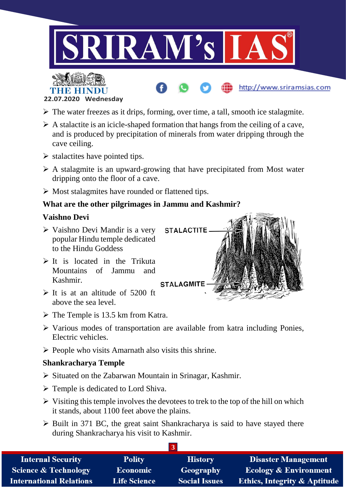



- $\triangleright$  The water freezes as it drips, forming, over time, a tall, smooth ice stalagmite.
- $\triangleright$  A stalactite is an icicle-shaped formation that hangs from the ceiling of a cave, and is produced by precipitation of minerals from water dripping through the cave ceiling.
- $\triangleright$  stalactites have pointed tips.
- $\triangleright$  A stalagmite is an upward-growing that have precipitated from Most water dripping onto the floor of a cave.
- $\triangleright$  Most stalagmites have rounded or flattened tips.

#### **What are the other pilgrimages in Jammu and Kashmir?**

#### **Vaishno Devi**

- Vaishno Devi Mandir is a very popular Hindu temple dedicated to the Hindu Goddess
- $\triangleright$  It is located in the Trikuta Mountains of Jammu and Kashmir.
- $\triangleright$  It is at an altitude of 5200 ft above the sea level.



http://www.sriramsias.com

- $\triangleright$  The Temple is 13.5 km from Katra.
- $\triangleright$  Various modes of transportation are available from katra including Ponies, Electric vehicles.
- $\triangleright$  People who visits Amarnath also visits this shrine.

#### **Shankracharya Temple**

- $\triangleright$  Situated on the Zabarwan Mountain in Srinagar, Kashmir.
- $\triangleright$  Temple is dedicated to Lord Shiva.
- $\triangleright$  Visiting this temple involves the devotees to trek to the top of the hill on which it stands, about 1100 feet above the plains.
- $\triangleright$  Built in 371 BC, the great saint Shankracharya is said to have stayed there during Shankracharya his visit to Kashmir.

| <b>Internal Security</b>        | <b>Polity</b>       | <b>History</b>       | <b>Disaster Management</b>              |
|---------------------------------|---------------------|----------------------|-----------------------------------------|
| <b>Science &amp; Technology</b> | <b>Economic</b>     | Geography            | <b>Ecology &amp; Environment</b>        |
| <b>International Relations</b>  | <b>Life Science</b> | <b>Social Issues</b> | <b>Ethics, Integrity &amp; Aptitude</b> |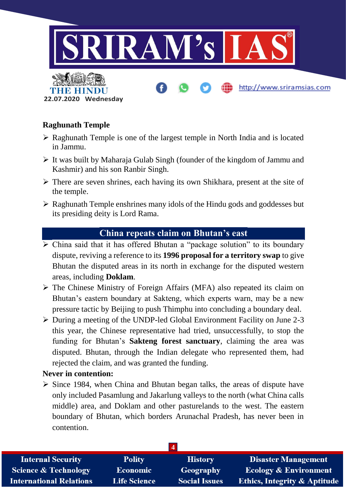

## **Raghunath Temple**

- $\triangleright$  Raghunath Temple is one of the largest temple in North India and is located in Jammu.
- $\triangleright$  It was built by Maharaja Gulab Singh (founder of the kingdom of Jammu and Kashmir) and his son Ranbir Singh.
- $\triangleright$  There are seven shrines, each having its own Shikhara, present at the site of the temple.
- $\triangleright$  Raghunath Temple enshrines many idols of the Hindu gods and goddesses but its presiding deity is Lord Rama.

## **China repeats claim on Bhutan's east**

- $\triangleright$  China said that it has offered Bhutan a "package solution" to its boundary dispute, reviving a reference to its **1996 proposal for a territory swap** to give Bhutan the disputed areas in its north in exchange for the disputed western areas, including **Doklam**.
- The Chinese Ministry of Foreign Affairs (MFA) also repeated its claim on Bhutan's eastern boundary at Sakteng, which experts warn, may be a new pressure tactic by Beijing to push Thimphu into concluding a boundary deal.
- $\triangleright$  During a meeting of the UNDP-led Global Environment Facility on June 2-3 this year, the Chinese representative had tried, unsuccessfully, to stop the funding for Bhutan's **Sakteng forest sanctuary**, claiming the area was disputed. Bhutan, through the Indian delegate who represented them, had rejected the claim, and was granted the funding.

## **Never in contention:**

 $\triangleright$  Since 1984, when China and Bhutan began talks, the areas of dispute have only included Pasamlung and Jakarlung valleys to the north (what China calls middle) area, and Doklam and other pasturelands to the west. The eastern boundary of Bhutan, which borders Arunachal Pradesh, has never been in contention.

| <b>Internal Security</b>        | <b>Polity</b>       | <b>History</b>       | Disaster Management                     |
|---------------------------------|---------------------|----------------------|-----------------------------------------|
| <b>Science &amp; Technology</b> | <b>Economic</b>     | Geography            | <b>Ecology &amp; Environment</b>        |
| <b>International Relations</b>  | <b>Life Science</b> | <b>Social Issues</b> | <b>Ethics, Integrity &amp; Aptitude</b> |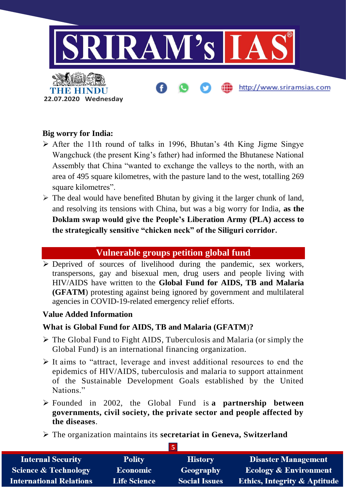

### **Big worry for India:**

- $\triangleright$  After the 11th round of talks in 1996, Bhutan's 4th King Jigme Singve Wangchuck (the present King's father) had informed the Bhutanese National Assembly that China "wanted to exchange the valleys to the north, with an area of 495 square kilometres, with the pasture land to the west, totalling 269 square kilometres".
- $\triangleright$  The deal would have benefited Bhutan by giving it the larger chunk of land, and resolving its tensions with China, but was a big worry for India, **as the Doklam swap would give the People's Liberation Army (PLA) access to the strategically sensitive "chicken neck" of the Siliguri corridor.**

## **Vulnerable groups petition global fund**

 Deprived of sources of livelihood during the pandemic, sex workers, transpersons, gay and bisexual men, drug users and people living with HIV/AIDS have written to the **Global Fund for AIDS, TB and Malaria (GFATM**) protesting against being ignored by government and multilateral agencies in COVID-19-related emergency relief efforts.

#### **Value Added Information**

#### **What is Global Fund for AIDS, TB and Malaria (GFATM**)**?**

- $\triangleright$  The Global Fund to Fight AIDS, Tuberculosis and Malaria (or simply the Global Fund) is an international financing organization.
- $\triangleright$  It aims to "attract, leverage and invest additional resources to end the epidemics of HIV/AIDS, tuberculosis and malaria to support attainment of the Sustainable Development Goals established by the United Nations."
- Founded in 2002, the Global Fund is **a partnership between governments, civil society, the private sector and people affected by the diseases**.
- The organization maintains its **secretariat in Geneva, Switzerland**

| <b>Internal Security</b>        | <b>Polity</b>       | <b>History</b>       | <b>Disaster Management</b>              |
|---------------------------------|---------------------|----------------------|-----------------------------------------|
| <b>Science &amp; Technology</b> | <b>Economic</b>     | Geography            | <b>Ecology &amp; Environment</b>        |
| <b>International Relations</b>  | <b>Life Science</b> | <b>Social Issues</b> | <b>Ethics, Integrity &amp; Aptitude</b> |